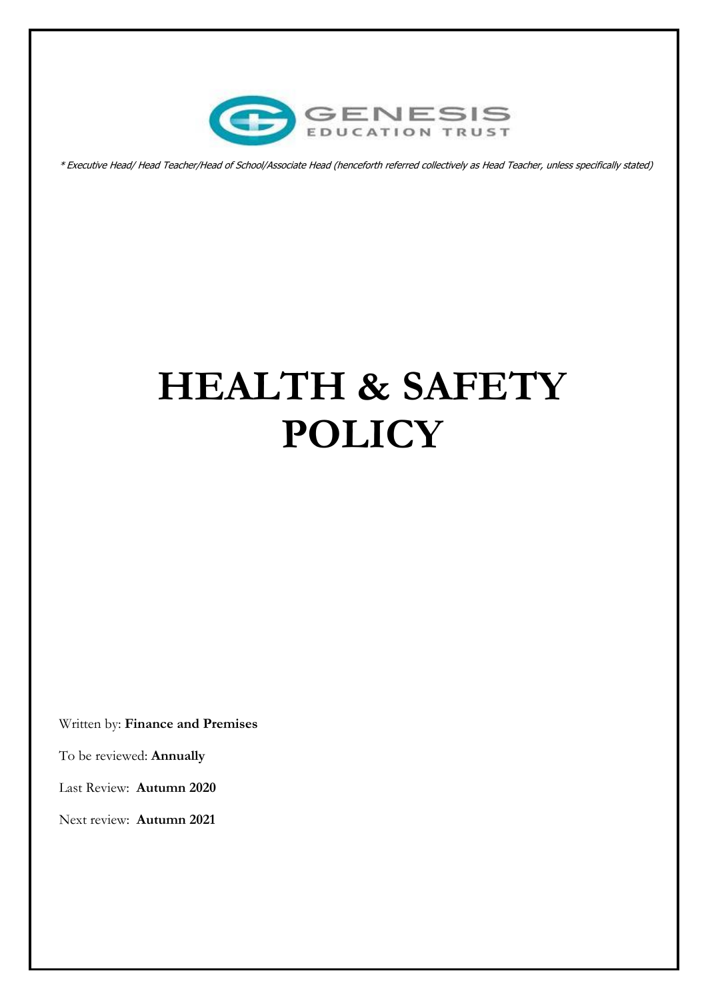

\* Executive Head/ Head Teacher/Head of School/Associate Head (henceforth referred collectively as Head Teacher, unless specifically stated)

# **HEALTH & SAFETY POLICY**

Written by: **Finance and Premises** 

To be reviewed: **Annually**

Last Review: **Autumn 2020**

Next review: **Autumn 2021**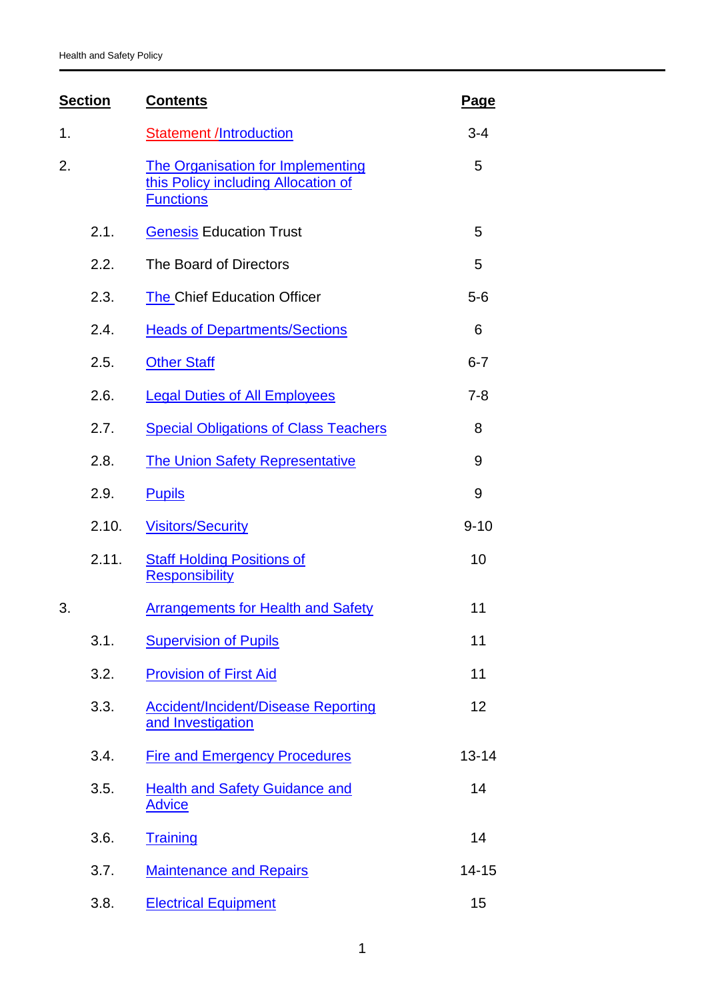| <b>Section</b> |       | <b>Contents</b>                                                                              | Page      |
|----------------|-------|----------------------------------------------------------------------------------------------|-----------|
| 1.             |       | <b>Statement /Introduction</b>                                                               | $3 - 4$   |
| 2.             |       | The Organisation for Implementing<br>this Policy including Allocation of<br><b>Functions</b> | 5         |
|                | 2.1.  | <b>Genesis Education Trust</b>                                                               | 5         |
|                | 2.2.  | The Board of Directors                                                                       | 5         |
|                | 2.3.  | <b>The Chief Education Officer</b>                                                           | $5 - 6$   |
|                | 2.4.  | <b>Heads of Departments/Sections</b>                                                         | 6         |
|                | 2.5.  | <b>Other Staff</b>                                                                           | $6 - 7$   |
|                | 2.6.  | <b>Legal Duties of All Employees</b>                                                         | $7 - 8$   |
|                | 2.7.  | <b>Special Obligations of Class Teachers</b>                                                 | 8         |
|                | 2.8.  | <b>The Union Safety Representative</b>                                                       | 9         |
|                | 2.9.  | <b>Pupils</b>                                                                                | 9         |
|                | 2.10. | <b>Visitors/Security</b>                                                                     | $9 - 10$  |
|                | 2.11. | <b>Staff Holding Positions of</b><br><b>Responsibility</b>                                   | 10        |
| 3.             |       | <b>Arrangements for Health and Safety</b>                                                    | 11        |
|                | 3.1.  | <b>Supervision of Pupils</b>                                                                 | 11        |
|                | 3.2.  | <b>Provision of First Aid</b>                                                                | 11        |
|                | 3.3.  | <b>Accident/Incident/Disease Reporting</b><br>and Investigation                              | 12        |
|                | 3.4.  | <b>Fire and Emergency Procedures</b>                                                         | $13 - 14$ |
|                | 3.5.  | <b>Health and Safety Guidance and</b><br><b>Advice</b>                                       | 14        |
|                | 3.6.  | <b>Training</b>                                                                              | 14        |
|                | 3.7.  | <b>Maintenance and Repairs</b>                                                               | $14 - 15$ |
|                | 3.8.  | <b>Electrical Equipment</b>                                                                  | 15        |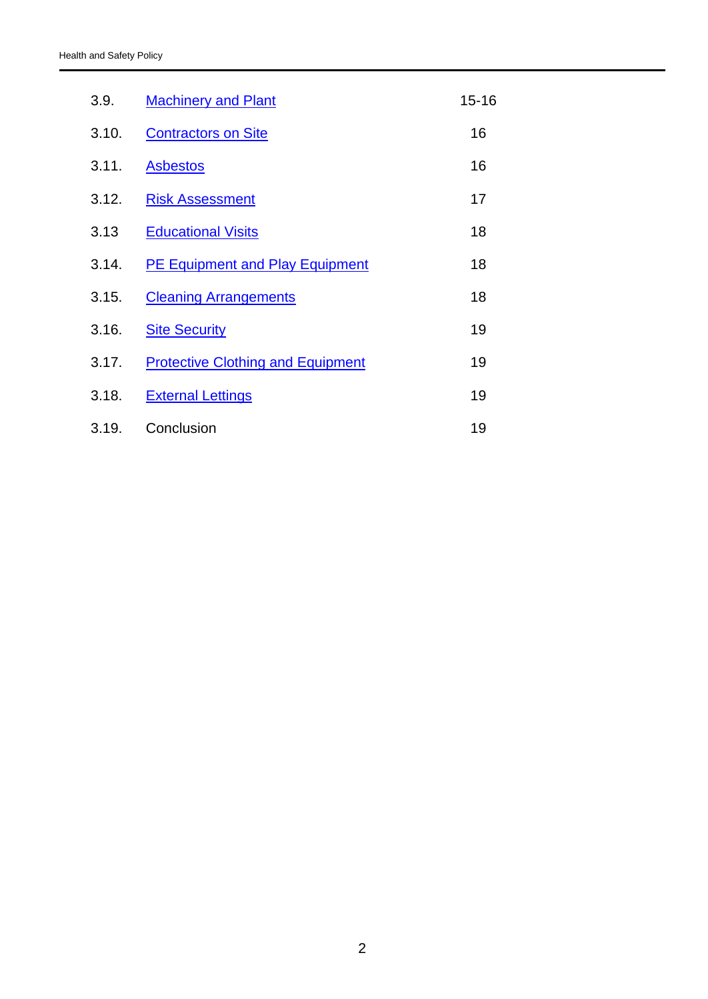| 3.9.  | <b>Machinery and Plant</b>               | $15 - 16$ |
|-------|------------------------------------------|-----------|
| 3.10. | <b>Contractors on Site</b>               | 16        |
| 3.11. | <b>Asbestos</b>                          | 16        |
| 3.12. | <b>Risk Assessment</b>                   | 17        |
| 3.13  | <b>Educational Visits</b>                | 18        |
| 3.14. | <b>PE Equipment and Play Equipment</b>   | 18        |
| 3.15. | <b>Cleaning Arrangements</b>             | 18        |
| 3.16. | <b>Site Security</b>                     | 19        |
| 3.17. | <b>Protective Clothing and Equipment</b> | 19        |
| 3.18. | <b>External Lettings</b>                 | 19        |
| 3.19. | Conclusion                               | 19        |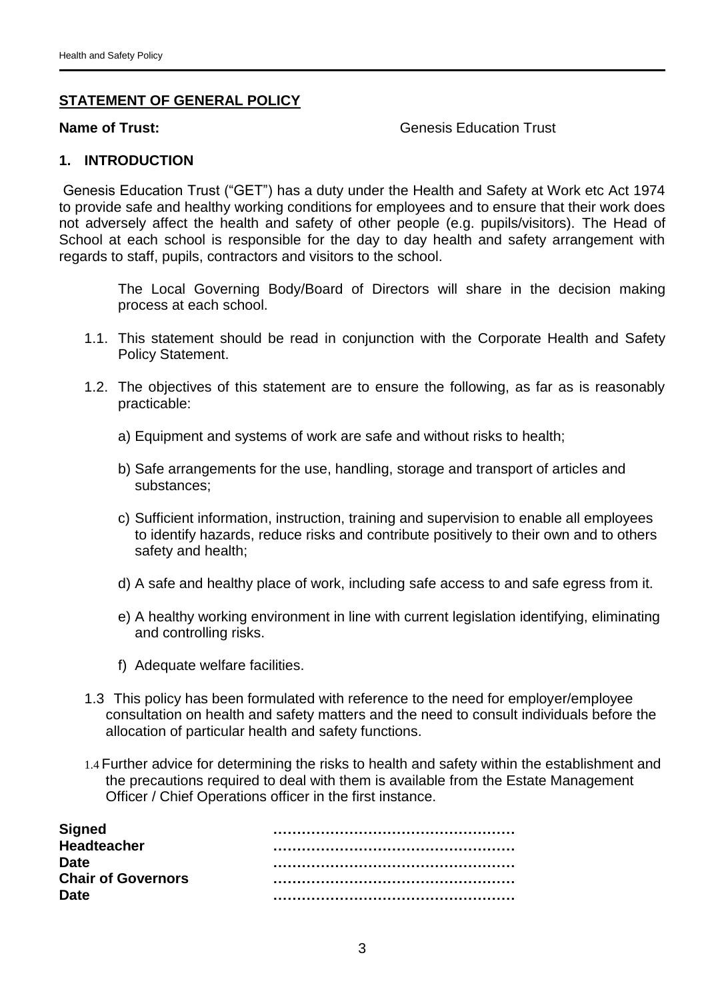#### **STATEMENT OF GENERAL POLICY**

#### **Name of Trust:** Genesis Education Trust

#### <span id="page-3-0"></span>**1. INTRODUCTION**

Genesis Education Trust ("GET") has a duty under the Health and Safety at Work etc Act 1974 to provide safe and healthy working conditions for employees and to ensure that their work does not adversely affect the health and safety of other people (e.g. pupils/visitors). The Head of School at each school is responsible for the day to day health and safety arrangement with regards to staff, pupils, contractors and visitors to the school.

The Local Governing Body/Board of Directors will share in the decision making process at each school.

- 1.1. This statement should be read in conjunction with the Corporate Health and Safety Policy Statement.
- 1.2. The objectives of this statement are to ensure the following, as far as is reasonably practicable:
	- a) Equipment and systems of work are safe and without risks to health;
	- b) Safe arrangements for the use, handling, storage and transport of articles and substances;
	- c) Sufficient information, instruction, training and supervision to enable all employees to identify hazards, reduce risks and contribute positively to their own and to others safety and health;
	- d) A safe and healthy place of work, including safe access to and safe egress from it.
	- e) A healthy working environment in line with current legislation identifying, eliminating and controlling risks.
	- f) Adequate welfare facilities.
- 1.3 This policy has been formulated with reference to the need for employer/employee consultation on health and safety matters and the need to consult individuals before the allocation of particular health and safety functions.
- 1.4 Further advice for determining the risks to health and safety within the establishment and the precautions required to deal with them is available from the Estate Management Officer / Chief Operations officer in the first instance.

| <b>Signed</b>             |  |
|---------------------------|--|
| <b>Headteacher</b>        |  |
| <b>Date</b>               |  |
| <b>Chair of Governors</b> |  |
| <b>Date</b>               |  |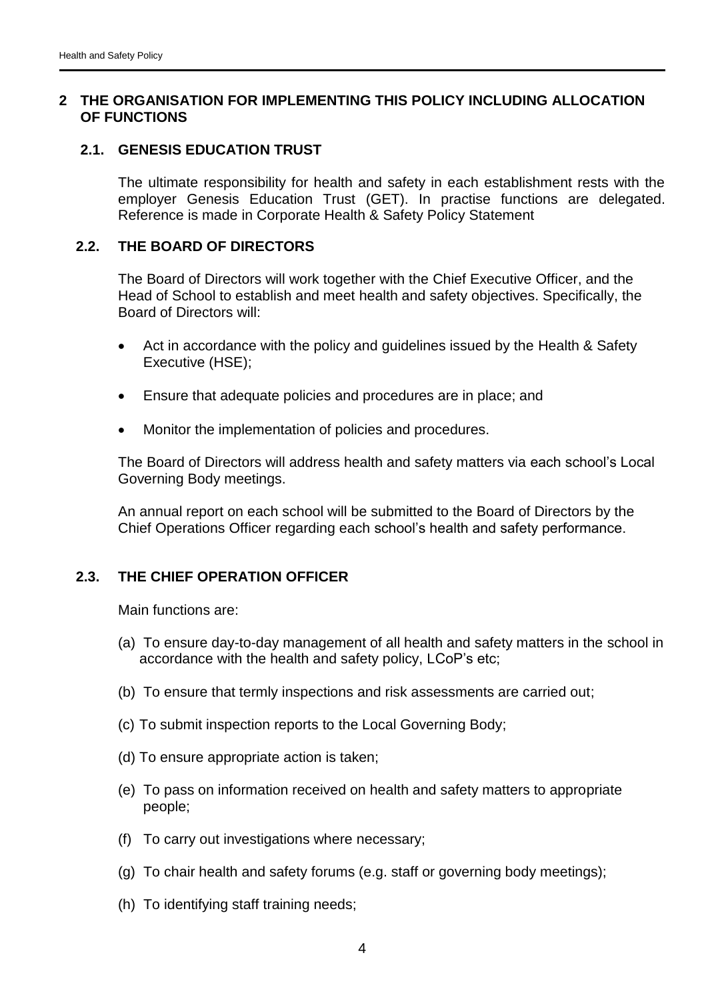# <span id="page-4-0"></span>**2 THE ORGANISATION FOR IMPLEMENTING THIS POLICY INCLUDING ALLOCATION OF FUNCTIONS**

#### <span id="page-4-1"></span>**2.1. GENESIS EDUCATION TRUST**

The ultimate responsibility for health and safety in each establishment rests with the employer Genesis Education Trust (GET). In practise functions are delegated. Reference is made in Corporate Health & Safety Policy Statement

#### **2.2. THE BOARD OF DIRECTORS**

The Board of Directors will work together with the Chief Executive Officer, and the Head of School to establish and meet health and safety objectives. Specifically, the Board of Directors will:

- Act in accordance with the policy and quidelines issued by the Health & Safety Executive (HSE);
- Ensure that adequate policies and procedures are in place; and
- Monitor the implementation of policies and procedures.

The Board of Directors will address health and safety matters via each school's Local Governing Body meetings.

An annual report on each school will be submitted to the Board of Directors by the Chief Operations Officer regarding each school's health and safety performance.

# <span id="page-4-2"></span>**2.3. THE CHIEF OPERATION OFFICER**

Main functions are:

- (a) To ensure day-to-day management of all health and safety matters in the school in accordance with the health and safety policy, LCoP's etc;
- (b) To ensure that termly inspections and risk assessments are carried out;
- (c) To submit inspection reports to the Local Governing Body;
- (d) To ensure appropriate action is taken;
- (e) To pass on information received on health and safety matters to appropriate people;
- (f) To carry out investigations where necessary;
- (g) To chair health and safety forums (e.g. staff or governing body meetings);
- (h) To identifying staff training needs;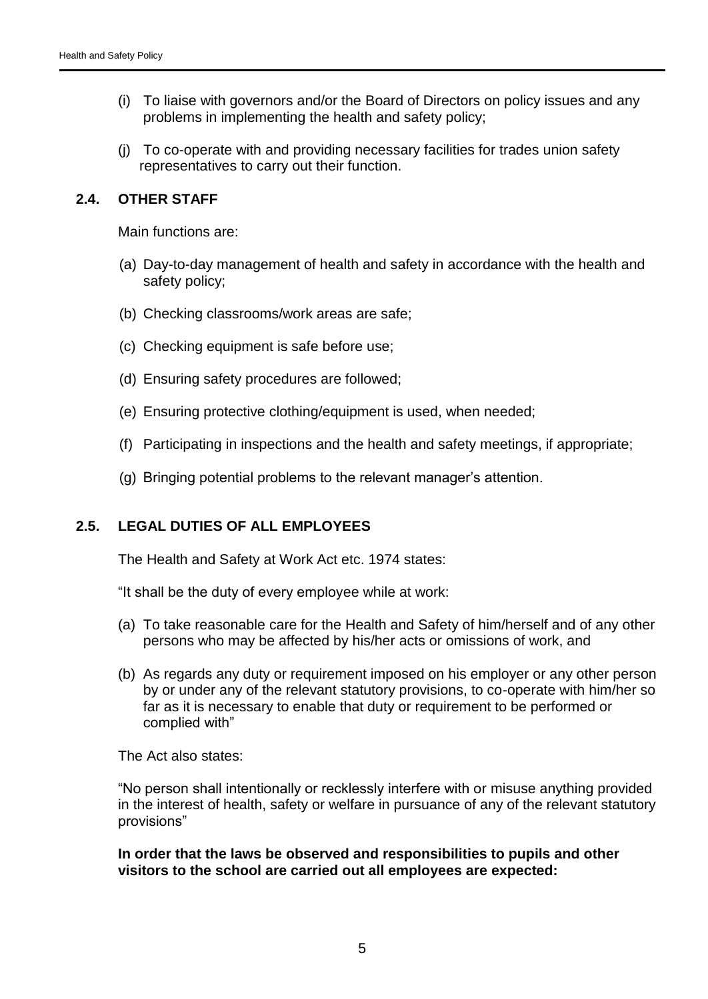- (i) To liaise with governors and/or the Board of Directors on policy issues and any problems in implementing the health and safety policy;
- (j) To co-operate with and providing necessary facilities for trades union safety representatives to carry out their function.

#### <span id="page-5-0"></span>**2.4. OTHER STAFF**

Main functions are:

- (a) Day-to-day management of health and safety in accordance with the health and safety policy;
- (b) Checking classrooms/work areas are safe;
- (c) Checking equipment is safe before use;
- (d) Ensuring safety procedures are followed;
- (e) Ensuring protective clothing/equipment is used, when needed;
- (f) Participating in inspections and the health and safety meetings, if appropriate;
- (g) Bringing potential problems to the relevant manager's attention.

# <span id="page-5-1"></span>**2.5. LEGAL DUTIES OF ALL EMPLOYEES**

The Health and Safety at Work Act etc. 1974 states:

"It shall be the duty of every employee while at work:

- (a) To take reasonable care for the Health and Safety of him/herself and of any other persons who may be affected by his/her acts or omissions of work, and
- (b) As regards any duty or requirement imposed on his employer or any other person by or under any of the relevant statutory provisions, to co-operate with him/her so far as it is necessary to enable that duty or requirement to be performed or complied with"

The Act also states:

"No person shall intentionally or recklessly interfere with or misuse anything provided in the interest of health, safety or welfare in pursuance of any of the relevant statutory provisions"

**In order that the laws be observed and responsibilities to pupils and other visitors to the school are carried out all employees are expected:**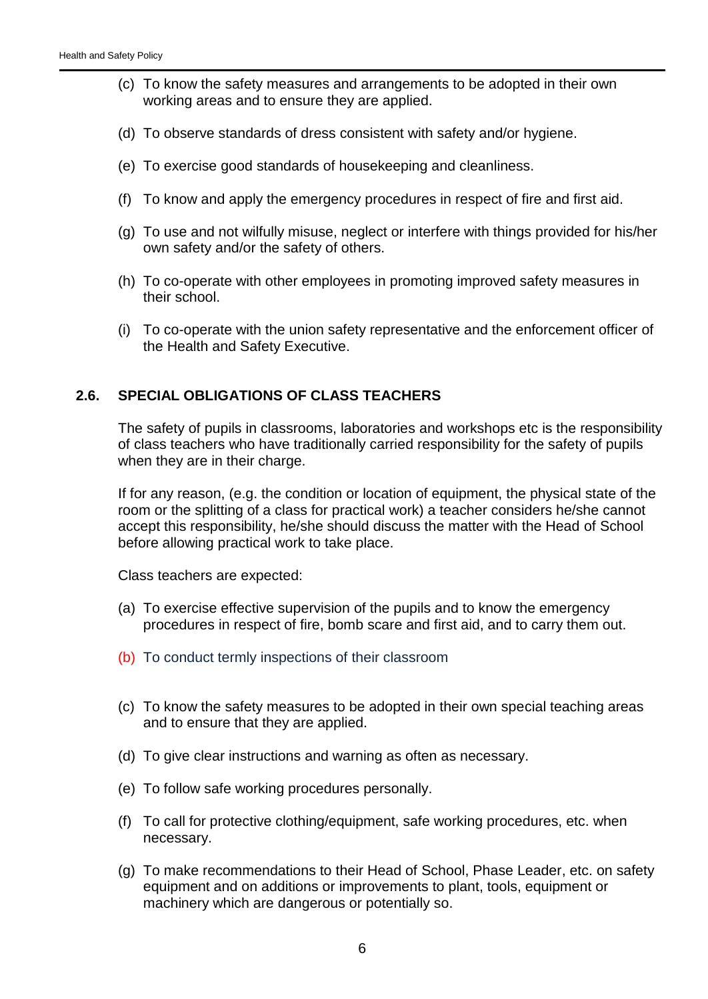- (c) To know the safety measures and arrangements to be adopted in their own working areas and to ensure they are applied.
- (d) To observe standards of dress consistent with safety and/or hygiene.
- (e) To exercise good standards of housekeeping and cleanliness.
- (f) To know and apply the emergency procedures in respect of fire and first aid.
- (g) To use and not wilfully misuse, neglect or interfere with things provided for his/her own safety and/or the safety of others.
- (h) To co-operate with other employees in promoting improved safety measures in their school.
- (i) To co-operate with the union safety representative and the enforcement officer of the Health and Safety Executive.

#### <span id="page-6-0"></span>**2.6. SPECIAL OBLIGATIONS OF CLASS TEACHERS**

The safety of pupils in classrooms, laboratories and workshops etc is the responsibility of class teachers who have traditionally carried responsibility for the safety of pupils when they are in their charge.

If for any reason, (e.g. the condition or location of equipment, the physical state of the room or the splitting of a class for practical work) a teacher considers he/she cannot accept this responsibility, he/she should discuss the matter with the Head of School before allowing practical work to take place.

Class teachers are expected:

- (a) To exercise effective supervision of the pupils and to know the emergency procedures in respect of fire, bomb scare and first aid, and to carry them out.
- (b) To conduct termly inspections of their classroom
- (c) To know the safety measures to be adopted in their own special teaching areas and to ensure that they are applied.
- (d) To give clear instructions and warning as often as necessary.
- (e) To follow safe working procedures personally.
- (f) To call for protective clothing/equipment, safe working procedures, etc. when necessary.
- (g) To make recommendations to their Head of School, Phase Leader, etc. on safety equipment and on additions or improvements to plant, tools, equipment or machinery which are dangerous or potentially so.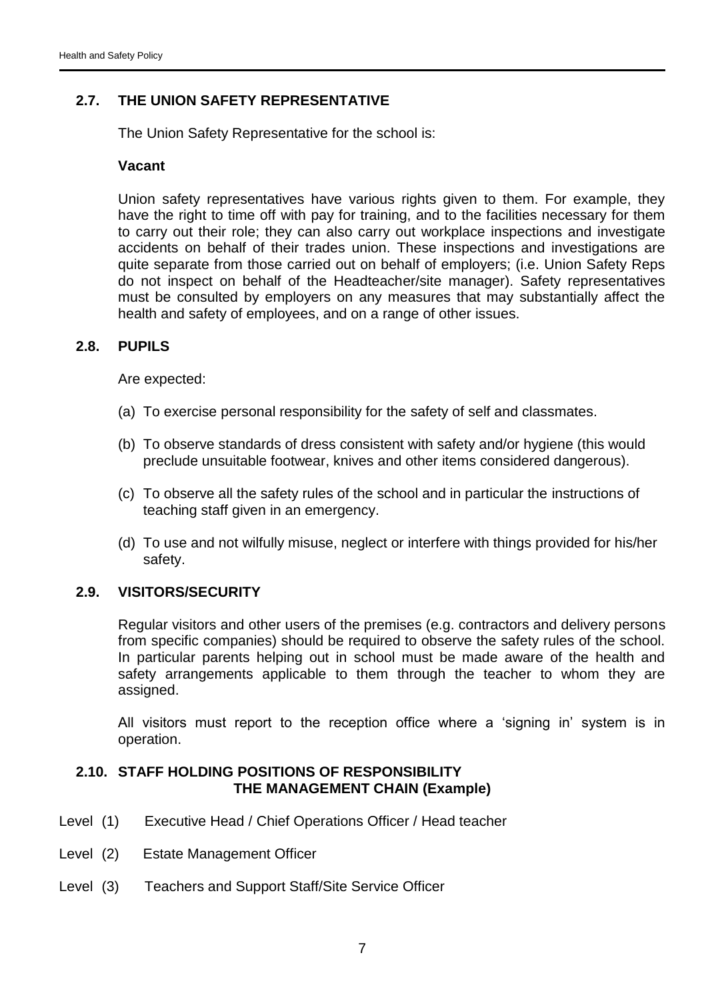# <span id="page-7-0"></span>**2.7. THE UNION SAFETY REPRESENTATIVE**

The Union Safety Representative for the school is:

# **Vacant**

Union safety representatives have various rights given to them. For example, they have the right to time off with pay for training, and to the facilities necessary for them to carry out their role; they can also carry out workplace inspections and investigate accidents on behalf of their trades union. These inspections and investigations are quite separate from those carried out on behalf of employers; (i.e. Union Safety Reps do not inspect on behalf of the Headteacher/site manager). Safety representatives must be consulted by employers on any measures that may substantially affect the health and safety of employees, and on a range of other issues.

# <span id="page-7-1"></span>**2.8. PUPILS**

Are expected:

- (a) To exercise personal responsibility for the safety of self and classmates.
- (b) To observe standards of dress consistent with safety and/or hygiene (this would preclude unsuitable footwear, knives and other items considered dangerous).
- (c) To observe all the safety rules of the school and in particular the instructions of teaching staff given in an emergency.
- (d) To use and not wilfully misuse, neglect or interfere with things provided for his/her safety.

# <span id="page-7-2"></span>**2.9. VISITORS/SECURITY**

Regular visitors and other users of the premises (e.g. contractors and delivery persons from specific companies) should be required to observe the safety rules of the school. In particular parents helping out in school must be made aware of the health and safety arrangements applicable to them through the teacher to whom they are assigned.

All visitors must report to the reception office where a 'signing in' system is in operation.

# <span id="page-7-3"></span>**2.10. STAFF HOLDING POSITIONS OF RESPONSIBILITY THE MANAGEMENT CHAIN (Example)**

- Level (1) Executive Head / Chief Operations Officer / Head teacher
- Level (2) Estate Management Officer
- Level (3) Teachers and Support Staff/Site Service Officer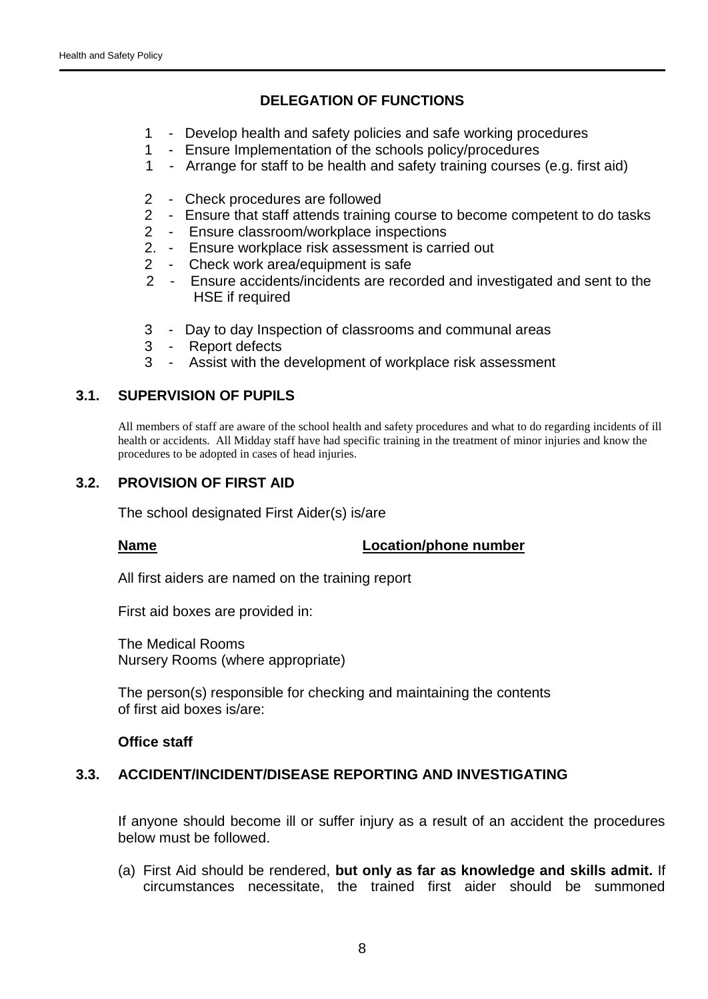# **DELEGATION OF FUNCTIONS**

- 1 Develop health and safety policies and safe working procedures
- 1 Ensure Implementation of the schools policy/procedures
- 1 Arrange for staff to be health and safety training courses (e.g. first aid)
- 2 Check procedures are followed
- 2 Ensure that staff attends training course to become competent to do tasks
- 2 Ensure classroom/workplace inspections
- 2. Ensure workplace risk assessment is carried out
- 2 Check work area/equipment is safe
- 2 Ensure accidents/incidents are recorded and investigated and sent to the HSE if required
- 3 Day to day Inspection of classrooms and communal areas
- 3 Report defects
- 3 Assist with the development of workplace risk assessment

# <span id="page-8-0"></span>**3.1. SUPERVISION OF PUPILS**

All members of staff are aware of the school health and safety procedures and what to do regarding incidents of ill health or accidents. All Midday staff have had specific training in the treatment of minor injuries and know the procedures to be adopted in cases of head injuries.

# <span id="page-8-1"></span>**3.2. PROVISION OF FIRST AID**

The school designated First Aider(s) is/are

# **Name Location/phone number**

All first aiders are named on the training report

First aid boxes are provided in:

The Medical Rooms Nursery Rooms (where appropriate)

The person(s) responsible for checking and maintaining the contents of first aid boxes is/are:

#### **Office staff**

# <span id="page-8-2"></span>**3.3. ACCIDENT/INCIDENT/DISEASE REPORTING AND INVESTIGATING**

If anyone should become ill or suffer injury as a result of an accident the procedures below must be followed.

(a) First Aid should be rendered, **but only as far as knowledge and skills admit.** If circumstances necessitate, the trained first aider should be summoned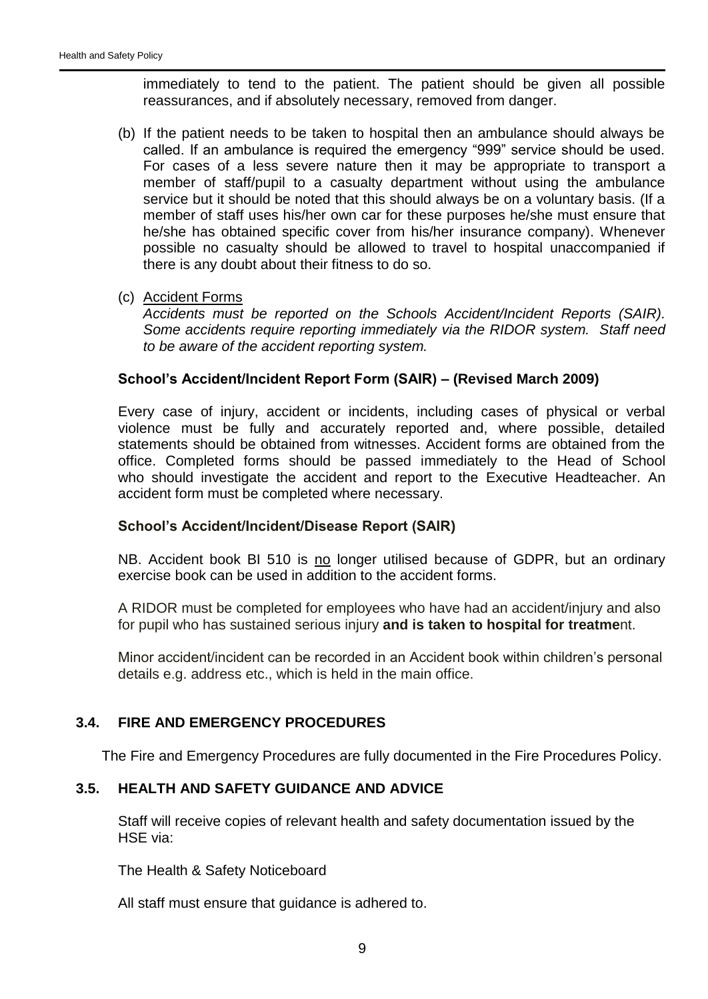immediately to tend to the patient. The patient should be given all possible reassurances, and if absolutely necessary, removed from danger.

- (b) If the patient needs to be taken to hospital then an ambulance should always be called. If an ambulance is required the emergency "999" service should be used. For cases of a less severe nature then it may be appropriate to transport a member of staff/pupil to a casualty department without using the ambulance service but it should be noted that this should always be on a voluntary basis. (If a member of staff uses his/her own car for these purposes he/she must ensure that he/she has obtained specific cover from his/her insurance company). Whenever possible no casualty should be allowed to travel to hospital unaccompanied if there is any doubt about their fitness to do so.
- (c) Accident Forms

*Accidents must be reported on the Schools Accident/Incident Reports (SAIR). Some accidents require reporting immediately via the RIDOR system. Staff need to be aware of the accident reporting system.*

# **School's Accident/Incident Report Form (SAIR) – (Revised March 2009)**

Every case of injury, accident or incidents, including cases of physical or verbal violence must be fully and accurately reported and, where possible, detailed statements should be obtained from witnesses. Accident forms are obtained from the office. Completed forms should be passed immediately to the Head of School who should investigate the accident and report to the Executive Headteacher. An accident form must be completed where necessary.

# **School's Accident/Incident/Disease Report (SAIR)**

NB. Accident book BI 510 is no longer utilised because of GDPR, but an ordinary exercise book can be used in addition to the accident forms.

A RIDOR must be completed for employees who have had an accident/injury and also for pupil who has sustained serious injury **and is taken to hospital for treatme**nt.

Minor accident/incident can be recorded in an Accident book within children's personal details e.g. address etc., which is held in the main office.

# <span id="page-9-0"></span>**3.4. FIRE AND EMERGENCY PROCEDURES**

The Fire and Emergency Procedures are fully documented in the Fire Procedures Policy.

# <span id="page-9-1"></span>**3.5. HEALTH AND SAFETY GUIDANCE AND ADVICE**

Staff will receive copies of relevant health and safety documentation issued by the HSE via:

The Health & Safety Noticeboard

All staff must ensure that guidance is adhered to.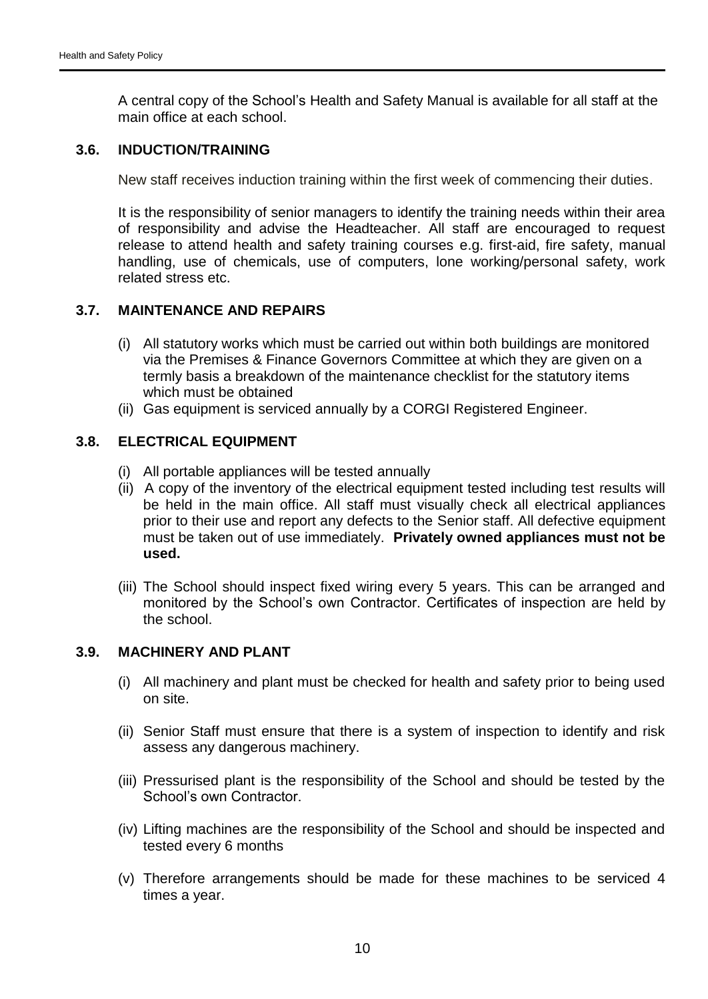A central copy of the School's Health and Safety Manual is available for all staff at the main office at each school.

#### <span id="page-10-0"></span>**3.6. INDUCTION/TRAINING**

New staff receives induction training within the first week of commencing their duties.

It is the responsibility of senior managers to identify the training needs within their area of responsibility and advise the Headteacher. All staff are encouraged to request release to attend health and safety training courses e.g. first-aid, fire safety, manual handling, use of chemicals, use of computers, lone working/personal safety, work related stress etc.

# <span id="page-10-1"></span>**3.7. MAINTENANCE AND REPAIRS**

- (i) All statutory works which must be carried out within both buildings are monitored via the Premises & Finance Governors Committee at which they are given on a termly basis a breakdown of the maintenance checklist for the statutory items which must be obtained
- (ii) Gas equipment is serviced annually by a CORGI Registered Engineer.

# <span id="page-10-2"></span>**3.8. ELECTRICAL EQUIPMENT**

- (i) All portable appliances will be tested annually
- (ii) A copy of the inventory of the electrical equipment tested including test results will be held in the main office. All staff must visually check all electrical appliances prior to their use and report any defects to the Senior staff. All defective equipment must be taken out of use immediately. **Privately owned appliances must not be used.**
- (iii) The School should inspect fixed wiring every 5 years. This can be arranged and monitored by the School's own Contractor. Certificates of inspection are held by the school.

# <span id="page-10-3"></span>**3.9. MACHINERY AND PLANT**

- (i) All machinery and plant must be checked for health and safety prior to being used on site.
- (ii) Senior Staff must ensure that there is a system of inspection to identify and risk assess any dangerous machinery.
- (iii) Pressurised plant is the responsibility of the School and should be tested by the School's own Contractor.
- (iv) Lifting machines are the responsibility of the School and should be inspected and tested every 6 months
- (v) Therefore arrangements should be made for these machines to be serviced 4 times a year.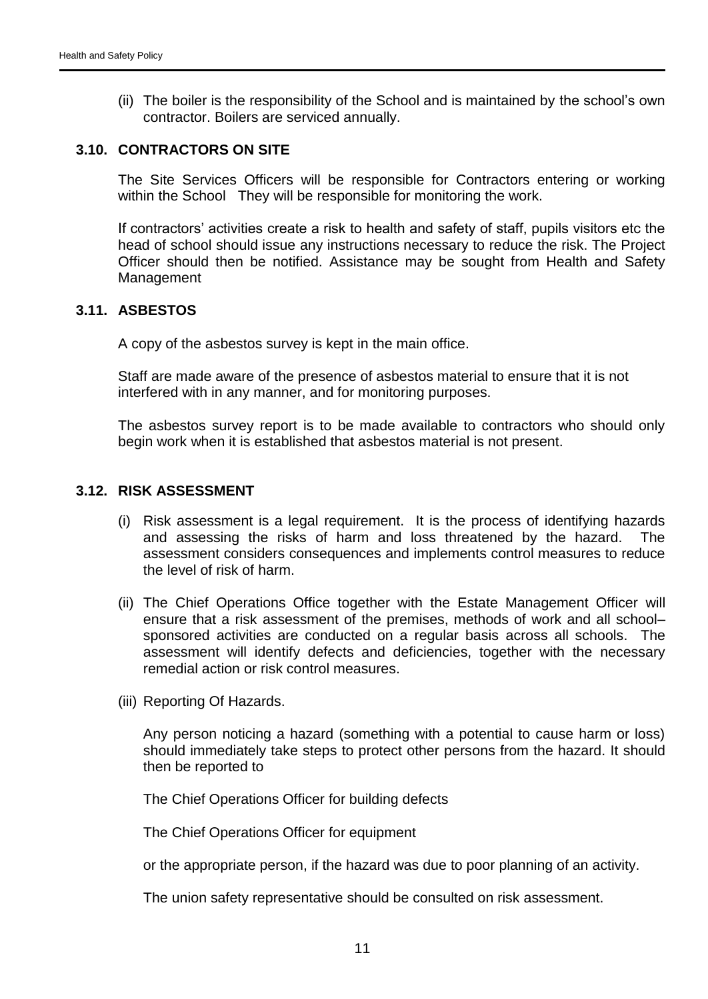(ii) The boiler is the responsibility of the School and is maintained by the school's own contractor. Boilers are serviced annually.

#### <span id="page-11-0"></span>**3.10. CONTRACTORS ON SITE**

The Site Services Officers will be responsible for Contractors entering or working within the School They will be responsible for monitoring the work.

If contractors' activities create a risk to health and safety of staff, pupils visitors etc the head of school should issue any instructions necessary to reduce the risk. The Project Officer should then be notified. Assistance may be sought from Health and Safety Management

#### <span id="page-11-1"></span>**3.11. ASBESTOS**

A copy of the asbestos survey is kept in the main office.

Staff are made aware of the presence of asbestos material to ensure that it is not interfered with in any manner, and for monitoring purposes.

The asbestos survey report is to be made available to contractors who should only begin work when it is established that asbestos material is not present.

#### <span id="page-11-2"></span>**3.12. RISK ASSESSMENT**

- (i) Risk assessment is a legal requirement. It is the process of identifying hazards and assessing the risks of harm and loss threatened by the hazard. The assessment considers consequences and implements control measures to reduce the level of risk of harm.
- (ii) The Chief Operations Office together with the Estate Management Officer will ensure that a risk assessment of the premises, methods of work and all school– sponsored activities are conducted on a regular basis across all schools. The assessment will identify defects and deficiencies, together with the necessary remedial action or risk control measures.
- (iii) Reporting Of Hazards.

Any person noticing a hazard (something with a potential to cause harm or loss) should immediately take steps to protect other persons from the hazard. It should then be reported to

The Chief Operations Officer for building defects

The Chief Operations Officer for equipment

or the appropriate person, if the hazard was due to poor planning of an activity.

The union safety representative should be consulted on risk assessment.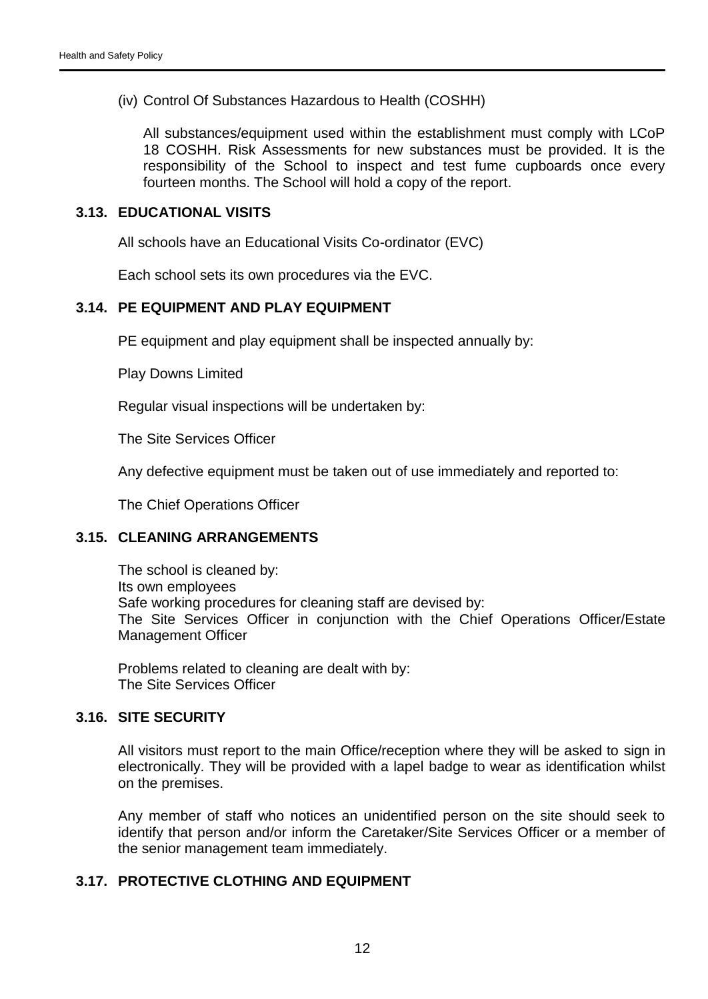(iv) Control Of Substances Hazardous to Health (COSHH)

All substances/equipment used within the establishment must comply with LCoP 18 COSHH. Risk Assessments for new substances must be provided. It is the responsibility of the School to inspect and test fume cupboards once every fourteen months. The School will hold a copy of the report.

#### <span id="page-12-0"></span>**3.13. EDUCATIONAL VISITS**

All schools have an Educational Visits Co-ordinator (EVC)

Each school sets its own procedures via the EVC.

# <span id="page-12-1"></span>**3.14. PE EQUIPMENT AND PLAY EQUIPMENT**

PE equipment and play equipment shall be inspected annually by:

Play Downs Limited

Regular visual inspections will be undertaken by:

The Site Services Officer

Any defective equipment must be taken out of use immediately and reported to:

The Chief Operations Officer

# <span id="page-12-2"></span>**3.15. CLEANING ARRANGEMENTS**

The school is cleaned by: Its own employees Safe working procedures for cleaning staff are devised by: The Site Services Officer in conjunction with the Chief Operations Officer/Estate Management Officer

Problems related to cleaning are dealt with by: The Site Services Officer

# <span id="page-12-3"></span>**3.16. SITE SECURITY**

All visitors must report to the main Office/reception where they will be asked to sign in electronically. They will be provided with a lapel badge to wear as identification whilst on the premises.

Any member of staff who notices an unidentified person on the site should seek to identify that person and/or inform the Caretaker/Site Services Officer or a member of the senior management team immediately.

# <span id="page-12-4"></span>**3.17. PROTECTIVE CLOTHING AND EQUIPMENT**